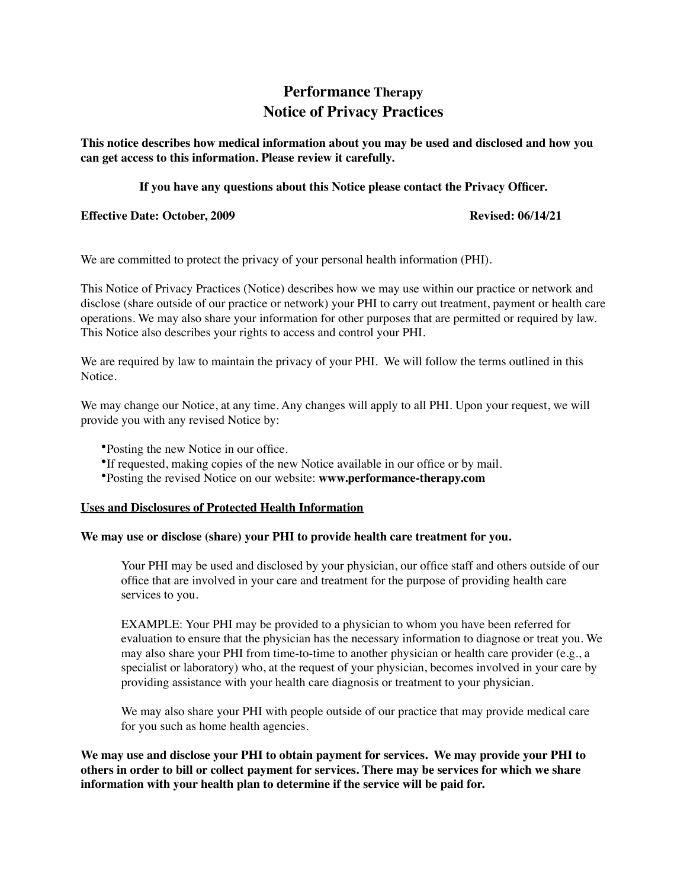# **Performance Therapy Notice of Privacy Practices**

**This notice describes how medical information about you may be used and disclosed and how you can get access to this information. Please review it carefully.** 

## **If you have any questions about this Notice please contact the Privacy Officer.**

**Effective Date: October, 2009** Revised: 06/14/21

We are committed to protect the privacy of your personal health information (PHI).

This Notice of Privacy Practices (Notice) describes how we may use within our practice or network and disclose (share outside of our practice or network) your PHI to carry out treatment, payment or health care operations. We may also share your information for other purposes that are permitted or required by law. This Notice also describes your rights to access and control your PHI.

We are required by law to maintain the privacy of your PHI. We will follow the terms outlined in this Notice.

We may change our Notice, at any time. Any changes will apply to all PHI. Upon your request, we will provide you with any revised Notice by:

- •Posting the new Notice in our office.
- •If requested, making copies of the new Notice available in our office or by mail.
- •Posting the revised Notice on our website: **www.performance-therapy.com**

## **Uses and Disclosures of Protected Health Information**

## **We may use or disclose (share) your PHI to provide health care treatment for you.**

Your PHI may be used and disclosed by your physician, our office staff and others outside of our office that are involved in your care and treatment for the purpose of providing health care services to you.

EXAMPLE: Your PHI may be provided to a physician to whom you have been referred for evaluation to ensure that the physician has the necessary information to diagnose or treat you. We may also share your PHI from time-to-time to another physician or health care provider (e.g., a specialist or laboratory) who, at the request of your physician, becomes involved in your care by providing assistance with your health care diagnosis or treatment to your physician.

We may also share your PHI with people outside of our practice that may provide medical care for you such as home health agencies.

**We may use and disclose your PHI to obtain payment for services. We may provide your PHI to others in order to bill or collect payment for services. There may be services for which we share information with your health plan to determine if the service will be paid for.**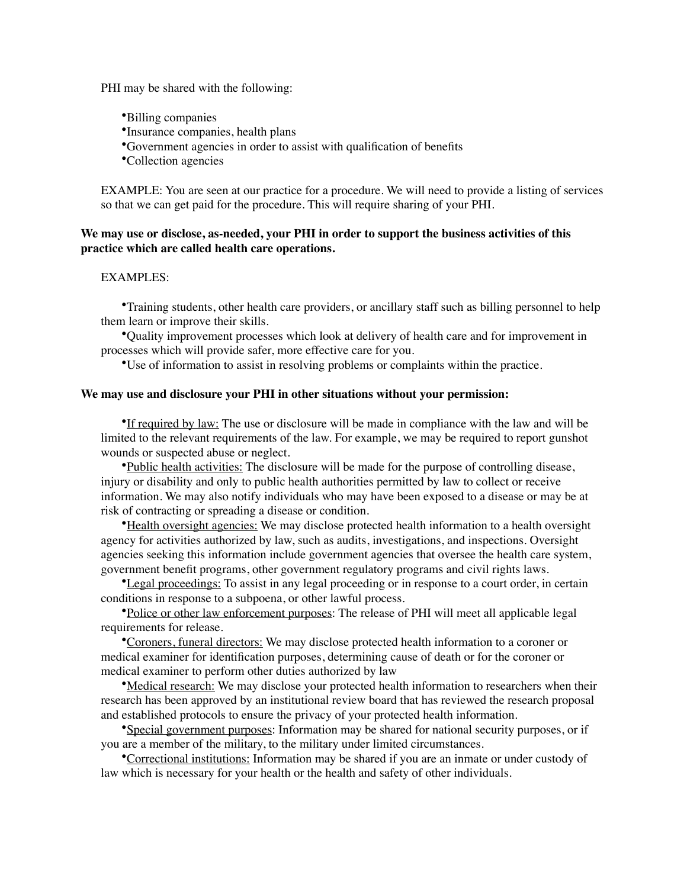PHI may be shared with the following:

- •Billing companies
- •Insurance companies, health plans
- •Government agencies in order to assist with qualification of benefits

•Collection agencies

EXAMPLE: You are seen at our practice for a procedure. We will need to provide a listing of services so that we can get paid for the procedure. This will require sharing of your PHI.

## **We may use or disclose, as-needed, your PHI in order to support the business activities of this practice which are called health care operations.**

## EXAMPLES:

•Training students, other health care providers, or ancillary staff such as billing personnel to help them learn or improve their skills.

•Quality improvement processes which look at delivery of health care and for improvement in processes which will provide safer, more effective care for you.

•Use of information to assist in resolving problems or complaints within the practice.

## **We may use and disclosure your PHI in other situations without your permission:**

•If required by law: The use or disclosure will be made in compliance with the law and will be limited to the relevant requirements of the law. For example, we may be required to report gunshot wounds or suspected abuse or neglect.

•Public health activities: The disclosure will be made for the purpose of controlling disease, injury or disability and only to public health authorities permitted by law to collect or receive information. We may also notify individuals who may have been exposed to a disease or may be at risk of contracting or spreading a disease or condition.

•Health oversight agencies: We may disclose protected health information to a health oversight agency for activities authorized by law, such as audits, investigations, and inspections. Oversight agencies seeking this information include government agencies that oversee the health care system, government benefit programs, other government regulatory programs and civil rights laws.

•Legal proceedings: To assist in any legal proceeding or in response to a court order, in certain conditions in response to a subpoena, or other lawful process.

•Police or other law enforcement purposes: The release of PHI will meet all applicable legal requirements for release.

•Coroners, funeral directors: We may disclose protected health information to a coroner or medical examiner for identification purposes, determining cause of death or for the coroner or medical examiner to perform other duties authorized by law

•Medical research: We may disclose your protected health information to researchers when their research has been approved by an institutional review board that has reviewed the research proposal and established protocols to ensure the privacy of your protected health information.

•Special government purposes: Information may be shared for national security purposes, or if you are a member of the military, to the military under limited circumstances.

•Correctional institutions: Information may be shared if you are an inmate or under custody of law which is necessary for your health or the health and safety of other individuals.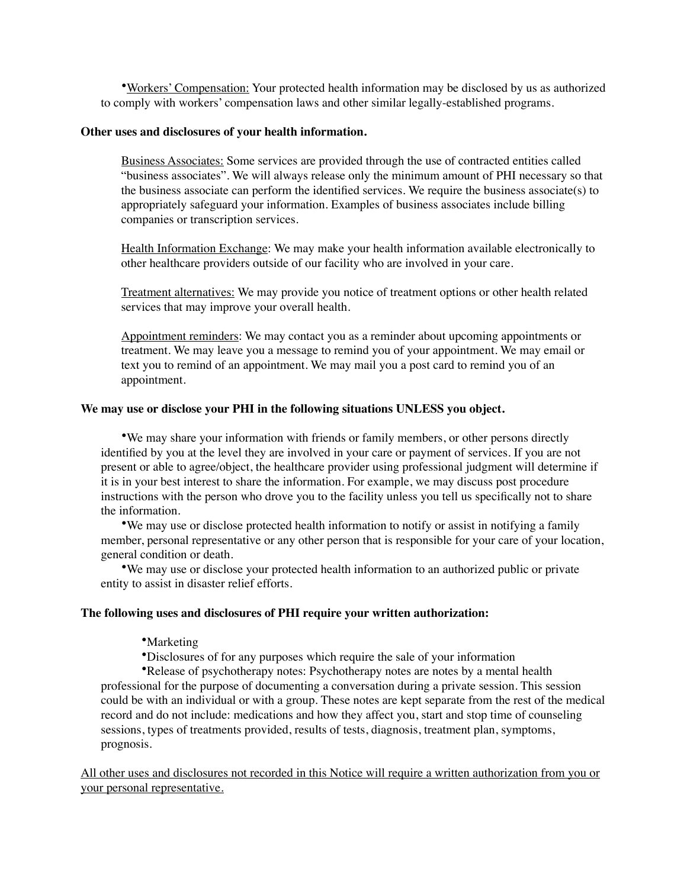•Workers' Compensation: Your protected health information may be disclosed by us as authorized to comply with workers' compensation laws and other similar legally-established programs.

#### **Other uses and disclosures of your health information.**

Business Associates: Some services are provided through the use of contracted entities called "business associates". We will always release only the minimum amount of PHI necessary so that the business associate can perform the identified services. We require the business associate(s) to appropriately safeguard your information. Examples of business associates include billing companies or transcription services.

Health Information Exchange: We may make your health information available electronically to other healthcare providers outside of our facility who are involved in your care.

Treatment alternatives: We may provide you notice of treatment options or other health related services that may improve your overall health.

Appointment reminders: We may contact you as a reminder about upcoming appointments or treatment. We may leave you a message to remind you of your appointment. We may email or text you to remind of an appointment. We may mail you a post card to remind you of an appointment.

#### **We may use or disclose your PHI in the following situations UNLESS you object.**

•We may share your information with friends or family members, or other persons directly identified by you at the level they are involved in your care or payment of services. If you are not present or able to agree/object, the healthcare provider using professional judgment will determine if it is in your best interest to share the information. For example, we may discuss post procedure instructions with the person who drove you to the facility unless you tell us specifically not to share the information.

•We may use or disclose protected health information to notify or assist in notifying a family member, personal representative or any other person that is responsible for your care of your location, general condition or death.

•We may use or disclose your protected health information to an authorized public or private entity to assist in disaster relief efforts.

## **The following uses and disclosures of PHI require your written authorization:**

## •Marketing

•Disclosures of for any purposes which require the sale of your information

•Release of psychotherapy notes: Psychotherapy notes are notes by a mental health professional for the purpose of documenting a conversation during a private session. This session could be with an individual or with a group. These notes are kept separate from the rest of the medical record and do not include: medications and how they affect you, start and stop time of counseling sessions, types of treatments provided, results of tests, diagnosis, treatment plan, symptoms, prognosis.

All other uses and disclosures not recorded in this Notice will require a written authorization from you or your personal representative.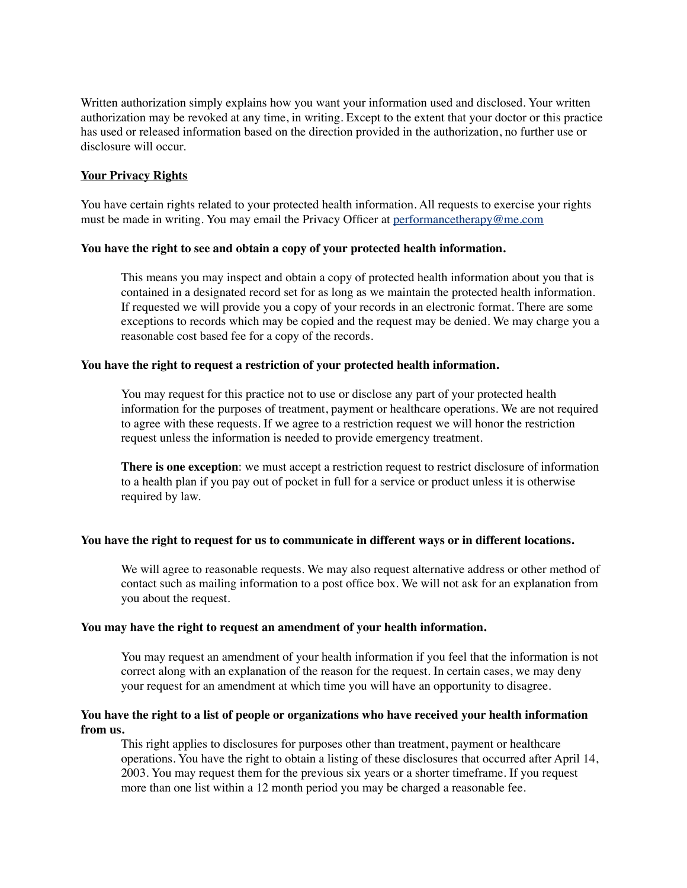Written authorization simply explains how you want your information used and disclosed. Your written authorization may be revoked at any time, in writing. Except to the extent that your doctor or this practice has used or released information based on the direction provided in the authorization, no further use or disclosure will occur.

## **Your Privacy Rights**

You have certain rights related to your protected health information. All requests to exercise your rights must be made in writing. You may email the Privacy Officer at performance therapy  $@$  me.com

## **You have the right to see and obtain a copy of your protected health information.**

This means you may inspect and obtain a copy of protected health information about you that is contained in a designated record set for as long as we maintain the protected health information. If requested we will provide you a copy of your records in an electronic format. There are some exceptions to records which may be copied and the request may be denied. We may charge you a reasonable cost based fee for a copy of the records.

## **You have the right to request a restriction of your protected health information.**

You may request for this practice not to use or disclose any part of your protected health information for the purposes of treatment, payment or healthcare operations. We are not required to agree with these requests. If we agree to a restriction request we will honor the restriction request unless the information is needed to provide emergency treatment.

**There is one exception**: we must accept a restriction request to restrict disclosure of information to a health plan if you pay out of pocket in full for a service or product unless it is otherwise required by law.

## **You have the right to request for us to communicate in different ways or in different locations.**

We will agree to reasonable requests. We may also request alternative address or other method of contact such as mailing information to a post office box. We will not ask for an explanation from you about the request.

## **You may have the right to request an amendment of your health information.**

You may request an amendment of your health information if you feel that the information is not correct along with an explanation of the reason for the request. In certain cases, we may deny your request for an amendment at which time you will have an opportunity to disagree.

## **You have the right to a list of people or organizations who have received your health information from us.**

This right applies to disclosures for purposes other than treatment, payment or healthcare operations. You have the right to obtain a listing of these disclosures that occurred after April 14, 2003. You may request them for the previous six years or a shorter timeframe. If you request more than one list within a 12 month period you may be charged a reasonable fee.